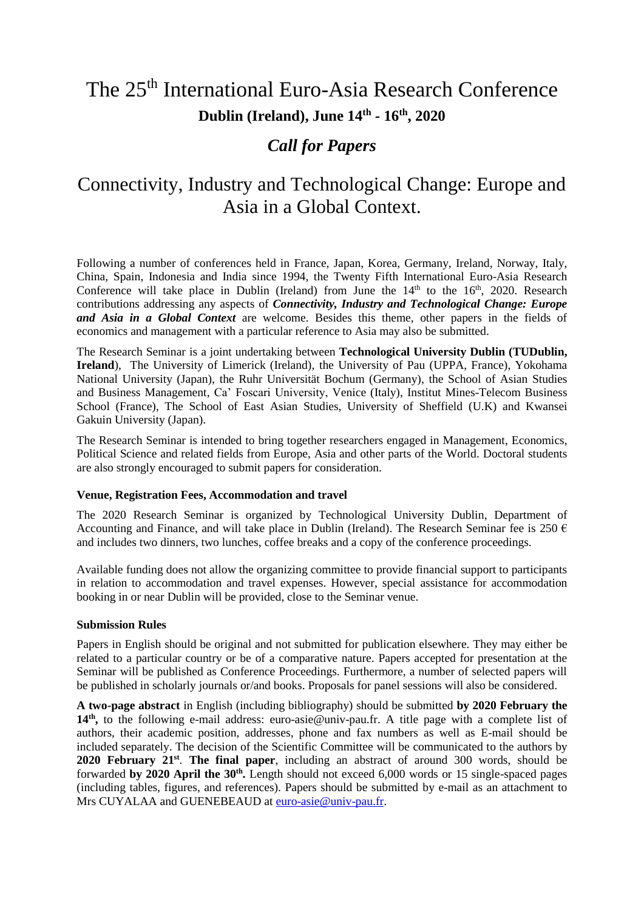# The 25<sup>th</sup> International Euro-Asia Research Conference **Dublin (Ireland), June 14th - 16th , 2020**

# *Call for Papers*

# Connectivity, Industry and Technological Change: Europe and Asia in a Global Context.

Following a number of conferences held in France, Japan, Korea, Germany, Ireland, Norway, Italy, China, Spain, Indonesia and India since 1994, the Twenty Fifth International Euro-Asia Research Conference will take place in Dublin (Ireland) from June the  $14<sup>th</sup>$  to the  $16<sup>th</sup>$ , 2020. Research contributions addressing any aspects of *Connectivity, Industry and Technological Change: Europe and Asia in a Global Context* are welcome. Besides this theme, other papers in the fields of economics and management with a particular reference to Asia may also be submitted.

The Research Seminar is a joint undertaking between **Technological University Dublin (TUDublin, Ireland**), The University of Limerick (Ireland), the University of Pau (UPPA, France), Yokohama National University (Japan), the Ruhr Universität Bochum (Germany), the School of Asian Studies and Business Management, Ca' Foscari University, Venice (Italy), Institut Mines-Telecom Business School (France), The School of East Asian Studies, University of Sheffield (U.K) and Kwansei Gakuin University (Japan).

The Research Seminar is intended to bring together researchers engaged in Management, Economics, Political Science and related fields from Europe, Asia and other parts of the World. Doctoral students are also strongly encouraged to submit papers for consideration.

# **Venue, Registration Fees, Accommodation and travel**

The 2020 Research Seminar is organized by Technological University Dublin, Department of Accounting and Finance, and will take place in Dublin (Ireland). The Research Seminar fee is 250  $\epsilon$ and includes two dinners, two lunches, coffee breaks and a copy of the conference proceedings.

Available funding does not allow the organizing committee to provide financial support to participants in relation to accommodation and travel expenses. However, special assistance for accommodation booking in or near Dublin will be provided, close to the Seminar venue.

#### **Submission Rules**

Papers in English should be original and not submitted for publication elsewhere. They may either be related to a particular country or be of a comparative nature. Papers accepted for presentation at the Seminar will be published as Conference Proceedings. Furthermore, a number of selected papers will be published in scholarly journals or/and books. Proposals for panel sessions will also be considered.

**A two-page abstract** in English (including bibliography) should be submitted **by 2020 February the**  14<sup>th</sup>, to the following e-mail address: euro-asie@univ-pau.fr. A title page with a complete list of authors, their academic position, addresses, phone and fax numbers as well as E-mail should be included separately. The decision of the Scientific Committee will be communicated to the authors by **2020 February 21st** . **The final paper**, including an abstract of around 300 words, should be forwarded **by 2020 April the 30th .** Length should not exceed 6,000 words or 15 single-spaced pages (including tables, figures, and references). Papers should be submitted by e-mail as an attachment to Mrs CUYALAA and GUENEBEAUD at [euro-asie@univ-pau.fr.](mailto:euro-asie@univ-pau.fr)